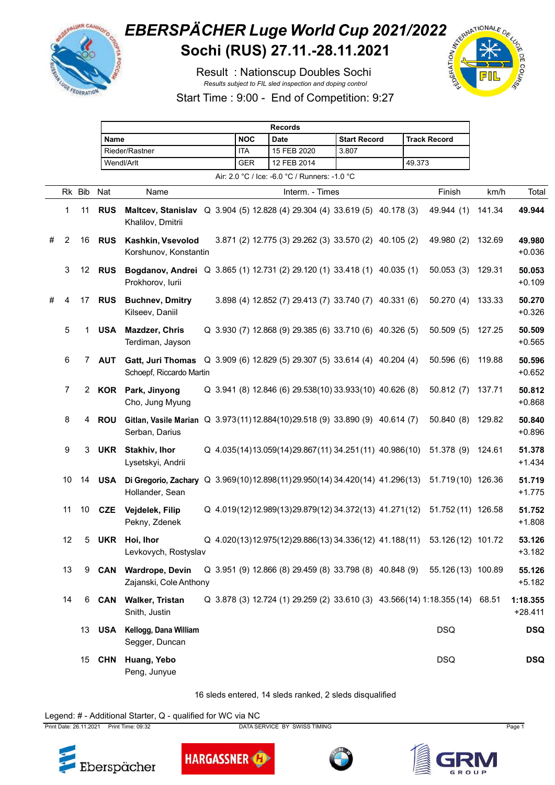

## *EBERSPÄCHER Luge World Cup 2021/2022*<br>Sochi (RUS) 27.11.-28.11.2021 **Sochi (RUS) 27.11.-28.11.2021**

Result : Nationscup Doubles Sochi *Results subject to FIL sled inspection and doping control*



Start Time : 9:00 - End of Competition: 9:27

|   |    | <b>Records</b> |               |                                                                                                                 |  |  |            |  |             |                 |                                               |                     |                                                         |        |                                                                        |        |                       |
|---|----|----------------|---------------|-----------------------------------------------------------------------------------------------------------------|--|--|------------|--|-------------|-----------------|-----------------------------------------------|---------------------|---------------------------------------------------------|--------|------------------------------------------------------------------------|--------|-----------------------|
|   |    |                | Name          |                                                                                                                 |  |  | <b>NOC</b> |  | <b>Date</b> |                 |                                               | <b>Start Record</b> |                                                         |        | <b>Track Record</b>                                                    |        |                       |
|   |    |                |               | Rieder/Rastner                                                                                                  |  |  | ITA        |  |             | 15 FEB 2020     | 3.807                                         |                     |                                                         |        |                                                                        |        |                       |
|   |    |                |               | Wendl/Arlt                                                                                                      |  |  | <b>GER</b> |  |             | 12 FEB 2014     |                                               |                     |                                                         | 49.373 |                                                                        |        |                       |
|   |    |                |               |                                                                                                                 |  |  |            |  |             |                 | Air: 2.0 °C / Ice: -6.0 °C / Runners: -1.0 °C |                     |                                                         |        |                                                                        |        |                       |
|   |    | Rk Bib         | Nat           | Name                                                                                                            |  |  |            |  |             | Interm. - Times |                                               |                     |                                                         |        | Finish                                                                 | km/h   | Total                 |
|   | 1  | 11             | <b>RUS</b>    | Maltcev, Stanislav Q 3.904 (5) 12.828 (4) 29.304 (4) 33.619 (5) 40.178 (3)<br>Khalilov, Dmitrii                 |  |  |            |  |             |                 |                                               |                     |                                                         |        | 49.944 (1)                                                             | 141.34 | 49.944                |
| # | 2  | 16             | <b>RUS</b>    | Kashkin, Vsevolod<br>Korshunov, Konstantin                                                                      |  |  |            |  |             |                 |                                               |                     | 3.871 (2) 12.775 (3) 29.262 (3) 33.570 (2) 40.105 (2)   |        | 49.980 (2)                                                             | 132.69 | 49.980<br>$+0.036$    |
|   | 3  |                | 12 <b>RUS</b> | Bogdanov, Andrei Q 3.865 (1) 12.731 (2) 29.120 (1) 33.418 (1) 40.035 (1)<br>Prokhorov, lurii                    |  |  |            |  |             |                 |                                               |                     |                                                         |        | 50.053(3)                                                              | 129.31 | 50.053<br>$+0.109$    |
| # | 4  | 17             | <b>RUS</b>    | <b>Buchnev, Dmitry</b><br>Kilseev, Daniil                                                                       |  |  |            |  |             |                 |                                               |                     | 3.898 (4) 12.852 (7) 29.413 (7) 33.740 (7) 40.331 (6)   |        | 50.270(4)                                                              | 133.33 | 50.270<br>$+0.326$    |
|   | 5  | 1              | <b>USA</b>    | Mazdzer, Chris<br>Terdiman, Jayson                                                                              |  |  |            |  |             |                 |                                               |                     | Q 3.930 (7) 12.868 (9) 29.385 (6) 33.710 (6) 40.326 (5) |        | 50.509(5)                                                              | 127.25 | 50.509<br>$+0.565$    |
|   | 6  |                | 7 AUT         | <b>Gatt, Juri Thomas</b><br>Schoepf, Riccardo Martin                                                            |  |  |            |  |             |                 |                                               |                     | Q 3.909 (6) 12.829 (5) 29.307 (5) 33.614 (4) 40.204 (4) |        | 50.596(6)                                                              | 119.88 | 50.596<br>$+0.652$    |
|   | 7  | 2              |               | KOR Park, Jinyong<br>Cho, Jung Myung                                                                            |  |  |            |  |             |                 |                                               |                     | Q 3.941 (8) 12.846 (6) 29.538(10) 33.933(10) 40.626 (8) |        | 50.812(7)                                                              | 137.71 | 50.812<br>$+0.868$    |
|   | 8  | 4              | <b>ROU</b>    | Gitlan, Vasile Marian Q 3.973(11)12.884(10)29.518 (9) 33.890 (9) 40.614 (7)<br>Serban, Darius                   |  |  |            |  |             |                 |                                               |                     |                                                         |        | 50.840(8)                                                              | 129.82 | 50.840<br>$+0.896$    |
|   | 9  | 3              | UKR           | <b>Stakhiv, Ihor</b><br>Lysetskyi, Andrii                                                                       |  |  |            |  |             |                 |                                               |                     |                                                         |        | Q 4.035(14)13.059(14)29.867(11) 34.251(11) 40.986(10) 51.378 (9)       | 124.61 | 51.378<br>$+1.434$    |
|   | 10 | 14             | USA           | Di Gregorio, Zachary Q 3.969(10)12.898(11)29.950(14) 34.420(14) 41.296(13) 51.719(10) 126.36<br>Hollander, Sean |  |  |            |  |             |                 |                                               |                     |                                                         |        |                                                                        |        | 51.719<br>$+1.775$    |
|   | 11 | 10             | CZE           | Vejdelek, Filip<br>Pekny, Zdenek                                                                                |  |  |            |  |             |                 |                                               |                     | Q 4.019(12)12.989(13)29.879(12)34.372(13) 41.271(12)    |        | 51.752 (11) 126.58                                                     |        | 51.752<br>$+1.808$    |
|   | 12 |                |               | 5 UKR Hoi, Ihor<br>Levkovych, Rostyslav                                                                         |  |  |            |  |             |                 |                                               |                     |                                                         |        | Q 4.020(13)12.975(12)29.886(13)34.336(12) 41.188(11) 53.126(12) 101.72 |        | 53.126<br>$+3.182$    |
|   | 13 | 9              | CAN           | <b>Wardrope, Devin</b><br>Zajanski, Cole Anthony                                                                |  |  |            |  |             |                 |                                               |                     | Q 3.951 (9) 12.866 (8) 29.459 (8) 33.798 (8) 40.848 (9) |        | 55.126 (13) 100.89                                                     |        | 55.126<br>$+5.182$    |
|   | 14 |                |               | 6 CAN Walker, Tristan<br>Snith, Justin                                                                          |  |  |            |  |             |                 |                                               |                     |                                                         |        | Q 3.878 (3) 12.724 (1) 29.259 (2) 33.610 (3) 43.566 (14) 1:18.355 (14) | 68.51  | 1:18.355<br>$+28.411$ |
|   |    | 13             |               | <b>USA</b> Kellogg, Dana William<br>Segger, Duncan                                                              |  |  |            |  |             |                 |                                               |                     |                                                         |        | <b>DSQ</b>                                                             |        | <b>DSQ</b>            |
|   |    | 15             | CHN           | Huang, Yebo<br>Peng, Junyue                                                                                     |  |  |            |  |             |                 |                                               |                     |                                                         |        | <b>DSQ</b>                                                             |        | <b>DSQ</b>            |

16 sleds entered, 14 sleds ranked, 2 sleds disqualified

## Legend: # - Additional Starter, Q - qualified for WC via NC

Print Date: 26.11.2021 Print Time: 09:32 DATA SERVICE BY SWISS TIMING Page 1